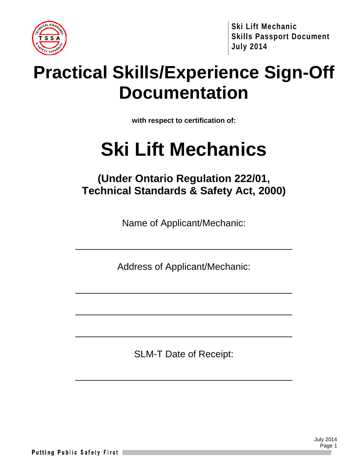

## **Practical Skills/Experience Sign-Off Documentation**

**with respect to certification of:**

# **Ski Lift Mechanics**

## **(Under Ontario Regulation 222/01, Technical Standards & Safety Act, 2000)**

Name of Applicant/Mechanic:

Address of Applicant/Mechanic:

\_\_\_\_\_\_\_\_\_\_\_\_\_\_\_\_\_\_\_\_\_\_\_\_\_\_\_\_\_\_\_\_\_\_\_\_\_\_\_\_\_

\_\_\_\_\_\_\_\_\_\_\_\_\_\_\_\_\_\_\_\_\_\_\_\_\_\_\_\_\_\_\_\_\_\_\_\_\_\_\_\_\_

\_\_\_\_\_\_\_\_\_\_\_\_\_\_\_\_\_\_\_\_\_\_\_\_\_\_\_\_\_\_\_\_\_\_\_\_\_\_\_\_\_

\_\_\_\_\_\_\_\_\_\_\_\_\_\_\_\_\_\_\_\_\_\_\_\_\_\_\_\_\_\_\_\_\_\_\_\_\_\_\_\_\_

SLM-T Date of Receipt:

\_\_\_\_\_\_\_\_\_\_\_\_\_\_\_\_\_\_\_\_\_\_\_\_\_\_\_\_\_\_\_\_\_\_\_\_\_\_\_\_\_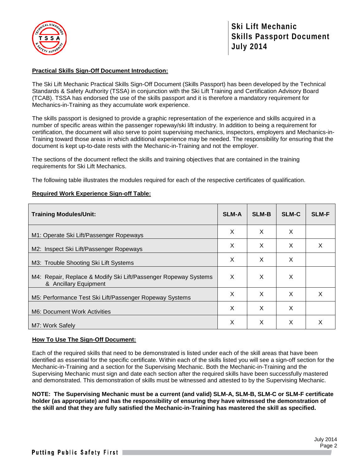

## **Practical Skills Sign-Off Document Introduction:**

The Ski Lift Mechanic Practical Skills Sign-Off Document (Skills Passport) has been developed by the Technical Standards & Safety Authority (TSSA) in conjunction with the Ski Lift Training and Certification Advisory Board (TCAB). TSSA has endorsed the use of the skills passport and it is therefore a mandatory requirement for Mechanics-in-Training as they accumulate work experience.

The skills passport is designed to provide a graphic representation of the experience and skills acquired in a number of specific areas within the passenger ropeway/ski lift industry. In addition to being a requirement for certification, the document will also serve to point supervising mechanics, inspectors, employers and Mechanics-in-Training toward those areas in which additional experience may be needed. The responsibility for ensuring that the document is kept up-to-date rests with the Mechanic-in-Training and not the employer.

The sections of the document reflect the skills and training objectives that are contained in the training requirements for Ski Lift Mechanics.

The following table illustrates the modules required for each of the respective certificates of qualification.

#### **Required Work Experience Sign-off Table:**

| <b>Training Modules/Unit:</b>                                                            | <b>SLM-A</b> | <b>SLM-B</b> | <b>SLM-C</b> | <b>SLM-F</b> |
|------------------------------------------------------------------------------------------|--------------|--------------|--------------|--------------|
| M1: Operate Ski Lift/Passenger Ropeways                                                  | X            | X            | X            |              |
| M2: Inspect Ski Lift/Passenger Ropeways                                                  | X            | X            | X            | X            |
| M3: Trouble Shooting Ski Lift Systems                                                    | X            | X            | X            |              |
| M4: Repair, Replace & Modify Ski Lift/Passenger Ropeway Systems<br>& Ancillary Equipment | X            | X            | X            |              |
| M5: Performance Test Ski Lift/Passenger Ropeway Systems                                  | X            | $\times$     | $\times$     | X            |
| M6: Document Work Activities                                                             | X            | X            | X            |              |
| M7: Work Safely                                                                          | X            | X            | X            | X            |

## **How To Use The Sign-Off Document:**

Each of the required skills that need to be demonstrated is listed under each of the skill areas that have been identified as essential for the specific certificate. Within each of the skills listed you will see a sign-off section for the Mechanic-in-Training and a section for the Supervising Mechanic. Both the Mechanic-in-Training and the Supervising Mechanic must sign and date each section after the required skills have been successfully mastered and demonstrated. This demonstration of skills must be witnessed and attested to by the Supervising Mechanic.

**NOTE: The Supervising Mechanic must be a current (and valid) SLM-A, SLM-B, SLM-C or SLM-F certificate holder (as appropriate) and has the responsibility of ensuring they have witnessed the demonstration of the skill and that they are fully satisfied the Mechanic-in-Training has mastered the skill as specified.**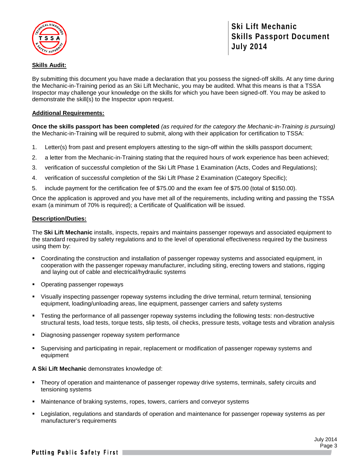

## **Skills Audit:**

By submitting this document you have made a declaration that you possess the signed-off skills. At any time during the Mechanic-in-Training period as an Ski Lift Mechanic, you may be audited. What this means is that a TSSA Inspector may challenge your knowledge on the skills for which you have been signed-off. You may be asked to demonstrate the skill(s) to the Inspector upon request.

## **Additional Requirements:**

**Once the skills passport has been completed** *(as required for the category the Mechanic-in-Training is pursuing)* the Mechanic-in-Training will be required to submit, along with their application for certification to TSSA:

- 1. Letter(s) from past and present employers attesting to the sign-off within the skills passport document;
- 2. a letter from the Mechanic-in-Training stating that the required hours of work experience has been achieved;
- 3. verification of successful completion of the Ski Lift Phase 1 Examination (Acts, Codes and Regulations);
- 4. verification of successful completion of the Ski Lift Phase 2 Examination (Category Specific);
- 5. include payment for the certification fee of \$75.00 and the exam fee of \$75.00 (total of \$150.00).

Once the application is approved and you have met all of the requirements, including writing and passing the TSSA exam (a minimum of 70% is required); a Certificate of Qualification will be issued.

#### **Description/Duties:**

The **Ski Lift Mechanic** installs, inspects, repairs and maintains passenger ropeways and associated equipment to the standard required by safety regulations and to the level of operational effectiveness required by the business using them by:

- Coordinating the construction and installation of passenger ropeway systems and associated equipment, in cooperation with the passenger ropeway manufacturer, including siting, erecting towers and stations, rigging and laying out of cable and electrical/hydraulic systems
- Operating passenger ropeways
- Visually inspecting passenger ropeway systems including the drive terminal, return terminal, tensioning equipment, loading/unloading areas, line equipment, passenger carriers and safety systems
- Testing the performance of all passenger ropeway systems including the following tests: non-destructive structural tests, load tests, torque tests, slip tests, oil checks, pressure tests, voltage tests and vibration analysis
- Diagnosing passenger ropeway system performance
- Supervising and participating in repair, replacement or modification of passenger ropeway systems and equipment

#### **A Ski Lift Mechanic** demonstrates knowledge of:

- Theory of operation and maintenance of passenger ropeway drive systems, terminals, safety circuits and tensioning systems
- Maintenance of braking systems, ropes, towers, carriers and conveyor systems
- Legislation, regulations and standards of operation and maintenance for passenger ropeway systems as per manufacturer's requirements

July 2014 Page 3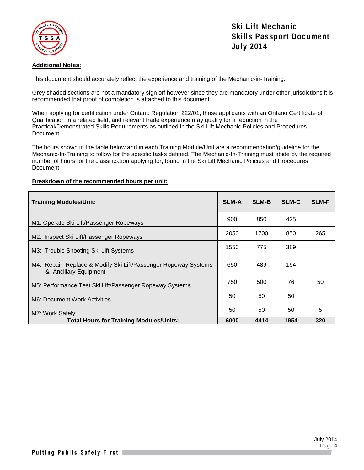

## **Additional Notes:**

This document should accurately reflect the experience and training of the Mechanic-in-Training.

Grey shaded sections are not a mandatory sign off however since they are mandatory under other jurisdictions it is recommended that proof of completion is attached to this document.

When applying for certification under Ontario Regulation 222/01, those applicants with an Ontario Certificate of Qualification in a related field, and relevant trade experience may qualify for a reduction in the Practical/Demonstrated Skills Requirements as outlined in the Ski Lift Mechanic Policies and Procedures Document.

The hours shown in the table below and in each Training Module/Unit are a recommendation/guideline for the Mechanic-In-Training to follow for the specific tasks defined. The Mechanic-In-Training must abide by the required number of hours for the classification applying for, found in the Ski Lift Mechanic Policies and Procedures Document.

## **Breakdown of the recommended hours per unit:**

| <b>Training Modules/Unit:</b>                                                            | <b>SLM-A</b> | <b>SLM-B</b> | <b>SLM-C</b> | <b>SLM-F</b> |
|------------------------------------------------------------------------------------------|--------------|--------------|--------------|--------------|
| M1: Operate Ski Lift/Passenger Ropeways                                                  | 900          | 850          | 425          |              |
| M2: Inspect Ski Lift/Passenger Ropeways                                                  | 2050         | 1700         | 850          | 265          |
| M3: Trouble Shooting Ski Lift Systems                                                    | 1550         | 775          | 389          |              |
| M4: Repair, Replace & Modify Ski Lift/Passenger Ropeway Systems<br>& Ancillary Equipment | 650          | 489          | 164          |              |
| M5: Performance Test Ski Lift/Passenger Ropeway Systems                                  | 750          | 500          | 76           | 50           |
| M6: Document Work Activities                                                             | 50           | 50           | 50           |              |
| M7: Work Safely                                                                          | 50           | 50           | 50           | 5            |
| <b>Total Hours for Training Modules/Units:</b>                                           | 6000         | 4414         | 1954         | 320          |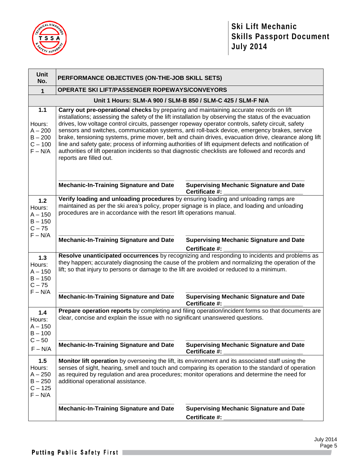

| <b>Unit</b><br>No.                                                                                                                                                                                                                                                                                                                                      | PERFORMANCE OBJECTIVES (ON-THE-JOB SKILL SETS)                                                                                                                                                                                                                                                                                                                                                                                                                                                                                                                                                                                                                                                                                                           |                                                                                                                                                                                                                                                                                                         |  |
|---------------------------------------------------------------------------------------------------------------------------------------------------------------------------------------------------------------------------------------------------------------------------------------------------------------------------------------------------------|----------------------------------------------------------------------------------------------------------------------------------------------------------------------------------------------------------------------------------------------------------------------------------------------------------------------------------------------------------------------------------------------------------------------------------------------------------------------------------------------------------------------------------------------------------------------------------------------------------------------------------------------------------------------------------------------------------------------------------------------------------|---------------------------------------------------------------------------------------------------------------------------------------------------------------------------------------------------------------------------------------------------------------------------------------------------------|--|
| $\mathbf{1}$                                                                                                                                                                                                                                                                                                                                            | OPERATE SKI LIFT/PASSENGER ROPEWAYS/CONVEYORS                                                                                                                                                                                                                                                                                                                                                                                                                                                                                                                                                                                                                                                                                                            |                                                                                                                                                                                                                                                                                                         |  |
|                                                                                                                                                                                                                                                                                                                                                         | Unit 1 Hours: SLM-A 900 / SLM-B 850 / SLM-C 425 / SLM-F N/A                                                                                                                                                                                                                                                                                                                                                                                                                                                                                                                                                                                                                                                                                              |                                                                                                                                                                                                                                                                                                         |  |
| $1.1$<br>Hours:<br>$A - 200$<br>$B - 200$<br>$C - 100$<br>$F - N/A$                                                                                                                                                                                                                                                                                     | Carry out pre-operational checks by preparing and maintaining accurate records on lift<br>installations; assessing the safety of the lift installation by observing the status of the evacuation<br>drives, low voltage control circuits, passenger ropeway operator controls, safety circuit, safety<br>sensors and switches, communication systems, anti roll-back device, emergency brakes, service<br>brake, tensioning systems, prime mover, belt and chain drives, evacuation drive, clearance along lift<br>line and safety gate; process of informing authorities of lift equipment defects and notification of<br>authorities of lift operation incidents so that diagnostic checklists are followed and records and<br>reports are filled out. |                                                                                                                                                                                                                                                                                                         |  |
|                                                                                                                                                                                                                                                                                                                                                         | <b>Mechanic-In-Training Signature and Date</b>                                                                                                                                                                                                                                                                                                                                                                                                                                                                                                                                                                                                                                                                                                           | <b>Supervising Mechanic Signature and Date</b><br>Certificate #:                                                                                                                                                                                                                                        |  |
| $1.2$<br>Hours:<br>$A - 150$<br>$B - 150$<br>$C - 75$<br>$F - N/A$                                                                                                                                                                                                                                                                                      | Verify loading and unloading procedures by ensuring loading and unloading ramps are<br>maintained as per the ski area's policy, proper signage is in place, and loading and unloading<br>procedures are in accordance with the resort lift operations manual.                                                                                                                                                                                                                                                                                                                                                                                                                                                                                            |                                                                                                                                                                                                                                                                                                         |  |
|                                                                                                                                                                                                                                                                                                                                                         | <b>Mechanic-In-Training Signature and Date</b>                                                                                                                                                                                                                                                                                                                                                                                                                                                                                                                                                                                                                                                                                                           | <b>Supervising Mechanic Signature and Date</b><br>Certificate #:                                                                                                                                                                                                                                        |  |
| Resolve unanticipated occurrences by recognizing and responding to incidents and problems as<br>$1.3$<br>they happen; accurately diagnosing the cause of the problem and normalizing the operation of the<br>Hours:<br>lift; so that injury to persons or damage to the lift are avoided or reduced to a minimum.<br>$A - 150$<br>$B - 150$<br>$C - 75$ |                                                                                                                                                                                                                                                                                                                                                                                                                                                                                                                                                                                                                                                                                                                                                          |                                                                                                                                                                                                                                                                                                         |  |
| $F - N/A$                                                                                                                                                                                                                                                                                                                                               | <b>Mechanic-In-Training Signature and Date</b>                                                                                                                                                                                                                                                                                                                                                                                                                                                                                                                                                                                                                                                                                                           | <b>Supervising Mechanic Signature and Date</b><br>Certificate #:                                                                                                                                                                                                                                        |  |
| 1.4<br>Hours:<br>$A - 150$<br>$B - 100$                                                                                                                                                                                                                                                                                                                 | Prepare operation reports by completing and filing operation/incident forms so that documents are<br>clear, concise and explain the issue with no significant unanswered questions.                                                                                                                                                                                                                                                                                                                                                                                                                                                                                                                                                                      |                                                                                                                                                                                                                                                                                                         |  |
| $C - 50$<br>$F - N/A$                                                                                                                                                                                                                                                                                                                                   | <b>Mechanic-In-Training Signature and Date</b>                                                                                                                                                                                                                                                                                                                                                                                                                                                                                                                                                                                                                                                                                                           | <b>Supervising Mechanic Signature and Date</b><br>Certificate #:                                                                                                                                                                                                                                        |  |
| 1.5<br>Hours:<br>$A - 250$<br>$B - 250$<br>$C - 125$<br>$F - N/A$                                                                                                                                                                                                                                                                                       | additional operational assistance.                                                                                                                                                                                                                                                                                                                                                                                                                                                                                                                                                                                                                                                                                                                       | Monitor lift operation by overseeing the lift, its environment and its associated staff using the<br>senses of sight, hearing, smell and touch and comparing its operation to the standard of operation<br>as required by regulation and area procedures; monitor operations and determine the need for |  |
|                                                                                                                                                                                                                                                                                                                                                         | <b>Mechanic-In-Training Signature and Date</b>                                                                                                                                                                                                                                                                                                                                                                                                                                                                                                                                                                                                                                                                                                           | <b>Supervising Mechanic Signature and Date</b><br>Certificate #:                                                                                                                                                                                                                                        |  |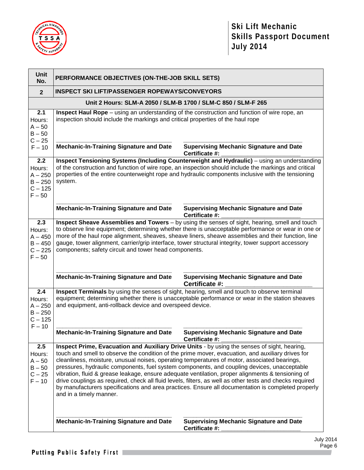

| Unit<br>No.                                                      | PERFORMANCE OBJECTIVES (ON-THE-JOB SKILL SETS)                                                                                                                                                                                                                                                                                                                                                                                                                                                                                                                                                                                                                                                                                                     |                                                                                                                                                                                                                                                                                                            |  |
|------------------------------------------------------------------|----------------------------------------------------------------------------------------------------------------------------------------------------------------------------------------------------------------------------------------------------------------------------------------------------------------------------------------------------------------------------------------------------------------------------------------------------------------------------------------------------------------------------------------------------------------------------------------------------------------------------------------------------------------------------------------------------------------------------------------------------|------------------------------------------------------------------------------------------------------------------------------------------------------------------------------------------------------------------------------------------------------------------------------------------------------------|--|
| $\overline{2}$                                                   | <b>INSPECT SKI LIFT/PASSENGER ROPEWAYS/CONVEYORS</b>                                                                                                                                                                                                                                                                                                                                                                                                                                                                                                                                                                                                                                                                                               |                                                                                                                                                                                                                                                                                                            |  |
|                                                                  | Unit 2 Hours: SLM-A 2050 / SLM-B 1700 / SLM-C 850 / SLM-F 265                                                                                                                                                                                                                                                                                                                                                                                                                                                                                                                                                                                                                                                                                      |                                                                                                                                                                                                                                                                                                            |  |
| 2.1<br>Hours:<br>$A - 50$<br>$B - 50$<br>$C - 25$                | Inspect Haul Rope - using an understanding of the construction and function of wire rope, an<br>inspection should include the markings and critical properties of the haul rope                                                                                                                                                                                                                                                                                                                                                                                                                                                                                                                                                                    |                                                                                                                                                                                                                                                                                                            |  |
| $F - 10$                                                         | <b>Mechanic-In-Training Signature and Date</b>                                                                                                                                                                                                                                                                                                                                                                                                                                                                                                                                                                                                                                                                                                     | <b>Supervising Mechanic Signature and Date</b><br>Certificate #:                                                                                                                                                                                                                                           |  |
| 2.2<br>Hours:<br>$A - 250$<br>$B - 250$<br>$C - 125$<br>$F - 50$ | system.                                                                                                                                                                                                                                                                                                                                                                                                                                                                                                                                                                                                                                                                                                                                            | Inspect Tensioning Systems (Including Counterweight and Hydraulic) - using an understanding<br>of the construction and function of wire rope, an inspection should include the markings and critical<br>properties of the entire counterweight rope and hydraulic components inclusive with the tensioning |  |
|                                                                  | <b>Mechanic-In-Training Signature and Date</b>                                                                                                                                                                                                                                                                                                                                                                                                                                                                                                                                                                                                                                                                                                     | <b>Supervising Mechanic Signature and Date</b><br>Certificate #:                                                                                                                                                                                                                                           |  |
| 2.3<br>Hours:<br>$A - 450$<br>$B - 450$<br>$C - 225$<br>$F - 50$ | Inspect Sheave Assemblies and Towers - by using the senses of sight, hearing, smell and touch<br>to observe line equipment; determining whether there is unacceptable performance or wear in one or<br>more of the haul rope alignment, sheaves, sheave liners, sheave assemblies and their function, line<br>gauge, tower alignment, carrier/grip interface, tower structural integrity, tower support accessory<br>components; safety circuit and tower head components.                                                                                                                                                                                                                                                                         |                                                                                                                                                                                                                                                                                                            |  |
|                                                                  | <b>Mechanic-In-Training Signature and Date</b>                                                                                                                                                                                                                                                                                                                                                                                                                                                                                                                                                                                                                                                                                                     | <b>Supervising Mechanic Signature and Date</b><br>Certificate #:                                                                                                                                                                                                                                           |  |
| 2.4<br>Hours:<br>$A - 250$<br>$B - 250$<br>$C - 125$<br>$F - 10$ | Inspect Terminals by using the senses of sight, hearing, smell and touch to observe terminal<br>equipment; determining whether there is unacceptable performance or wear in the station sheaves<br>and equipment, anti-rollback device and overspeed device.                                                                                                                                                                                                                                                                                                                                                                                                                                                                                       |                                                                                                                                                                                                                                                                                                            |  |
|                                                                  | <b>Mechanic-In-Training Signature and Date</b>                                                                                                                                                                                                                                                                                                                                                                                                                                                                                                                                                                                                                                                                                                     | <b>Supervising Mechanic Signature and Date</b><br>Certificate #:                                                                                                                                                                                                                                           |  |
| 2.5<br>Hours:<br>$A - 50$<br>$B - 50$<br>$C - 25$<br>$F - 10$    | Inspect Prime, Evacuation and Auxiliary Drive Units - by using the senses of sight, hearing,<br>touch and smell to observe the condition of the prime mover, evacuation, and auxiliary drives for<br>cleanliness, moisture, unusual noises, operating temperatures of motor, associated bearings,<br>pressures, hydraulic components, fuel system components, and coupling devices, unacceptable<br>vibration, fluid & grease leakage, ensure adequate ventilation, proper alignments & tensioning of<br>drive couplings as required, check all fluid levels, filters, as well as other tests and checks required<br>by manufacturers specifications and area practices. Ensure all documentation is completed properly<br>and in a timely manner. |                                                                                                                                                                                                                                                                                                            |  |
|                                                                  | <b>Mechanic-In-Training Signature and Date</b>                                                                                                                                                                                                                                                                                                                                                                                                                                                                                                                                                                                                                                                                                                     | <b>Supervising Mechanic Signature and Date</b><br>Certificate #:                                                                                                                                                                                                                                           |  |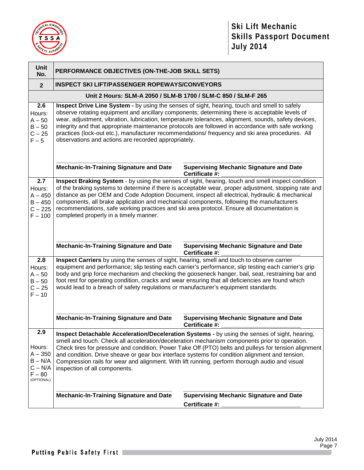

| <b>Unit</b><br>No.                                                             | PERFORMANCE OBJECTIVES (ON-THE-JOB SKILL SETS)                                                                                                                                                                                                                                                                                                                                                                                                                                                                                                                         |                                                                                                                                                                                                                                                                                                               |  |
|--------------------------------------------------------------------------------|------------------------------------------------------------------------------------------------------------------------------------------------------------------------------------------------------------------------------------------------------------------------------------------------------------------------------------------------------------------------------------------------------------------------------------------------------------------------------------------------------------------------------------------------------------------------|---------------------------------------------------------------------------------------------------------------------------------------------------------------------------------------------------------------------------------------------------------------------------------------------------------------|--|
| $\overline{2}$                                                                 | <b>INSPECT SKI LIFT/PASSENGER ROPEWAYS/CONVEYORS</b>                                                                                                                                                                                                                                                                                                                                                                                                                                                                                                                   |                                                                                                                                                                                                                                                                                                               |  |
|                                                                                | Unit 2 Hours: SLM-A 2050 / SLM-B 1700 / SLM-C 850 / SLM-F 265                                                                                                                                                                                                                                                                                                                                                                                                                                                                                                          |                                                                                                                                                                                                                                                                                                               |  |
| 2.6<br>Hours:<br>$A - 50$<br>$B - 50$<br>$C - 25$<br>$F - 5$                   | Inspect Drive Line System - by using the senses of sight, hearing, touch and smell to safely<br>observe rotating equipment and ancillary components; determining there is acceptable levels of<br>wear, adjustment, vibration, lubrication, temperature tolerances, alignment, sounds, safety devices,<br>integrity and that appropriate maintenance protocols are followed in accordance with safe working<br>practices (lock-out etc.), manufacturer recommendations/ frequency and ski area procedures. All<br>observations and actions are recorded appropriately. |                                                                                                                                                                                                                                                                                                               |  |
|                                                                                | <b>Mechanic-In-Training Signature and Date</b>                                                                                                                                                                                                                                                                                                                                                                                                                                                                                                                         | <b>Supervising Mechanic Signature and Date</b><br>Certificate #:                                                                                                                                                                                                                                              |  |
| 2.7<br>Hours:<br>$A - 450$<br>$B - 450$<br>$C - 225$<br>$F - 100$              | components, all brake application and mechanical components, following the manufacturers<br>recommendations, safe working practices and ski area protocol. Ensure all documentation is<br>completed properly in a timely manner.                                                                                                                                                                                                                                                                                                                                       | Inspect Braking System - by using the senses of sight, hearing, touch and smell inspect condition<br>of the braking systems to determine if there is acceptable wear, proper adjustment, stopping rate and<br>distance as per OEM and Code Adoption Document, inspect all electrical, hydraulic & mechanical  |  |
|                                                                                | <b>Mechanic-In-Training Signature and Date</b>                                                                                                                                                                                                                                                                                                                                                                                                                                                                                                                         | <b>Supervising Mechanic Signature and Date</b><br>Certificate #:                                                                                                                                                                                                                                              |  |
| 2.8<br>Hours:<br>$A - 50$<br>$B - 50$<br>$C - 25$<br>$F - 10$                  | Inspect Carriers by using the senses of sight, hearing, smell and touch to observe carrier<br>would lead to a breach of safety regulations or manufacturer's equipment standards.                                                                                                                                                                                                                                                                                                                                                                                      | equipment and performance; slip testing each carrier's performance; slip testing each carrier's grip<br>body and grip force mechanism and checking the gooseneck hanger, bail, seat, restraining bar and<br>foot rest for operating condition, cracks and wear ensuring that all deficiencies are found which |  |
|                                                                                | <b>Mechanic-In-Training Signature and Date</b>                                                                                                                                                                                                                                                                                                                                                                                                                                                                                                                         | <b>Supervising Mechanic Signature and Date</b><br>Certificate #:                                                                                                                                                                                                                                              |  |
| 2.9<br>Hours:<br>$A - 350$<br>$B - N/A$<br>$C - N/A$<br>$F - 80$<br>(OPTIONAL) | Inspect Detachable Acceleration/Deceleration Systems - by using the senses of sight, hearing,<br>smell and touch. Check all acceleration/deceleration mechanism components prior to operation.<br>Check tires for pressure and condition, Power Take Off (PTO) belts and pulleys for tension alignment<br>and condition. Drive sheave or gear box interface systems for condition alignment and tension.<br>Compression rails for wear and alignment. With lift running, perform thorough audio and visual<br>inspection of all components.                            |                                                                                                                                                                                                                                                                                                               |  |
|                                                                                | <b>Mechanic-In-Training Signature and Date</b>                                                                                                                                                                                                                                                                                                                                                                                                                                                                                                                         | <b>Supervising Mechanic Signature and Date</b><br>Certificate #:                                                                                                                                                                                                                                              |  |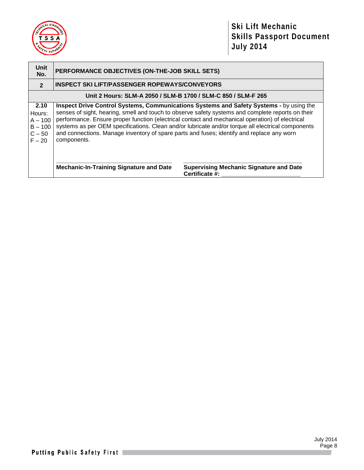

| Unit<br>No.                                                      | PERFORMANCE OBJECTIVES (ON-THE-JOB SKILL SETS)                                                           |                                                                                                                                                                                                                                                                                                                                                                                                      |  |  |
|------------------------------------------------------------------|----------------------------------------------------------------------------------------------------------|------------------------------------------------------------------------------------------------------------------------------------------------------------------------------------------------------------------------------------------------------------------------------------------------------------------------------------------------------------------------------------------------------|--|--|
| $\overline{2}$                                                   | <b>INSPECT SKI LIFT/PASSENGER ROPEWAYS/CONVEYORS</b>                                                     |                                                                                                                                                                                                                                                                                                                                                                                                      |  |  |
|                                                                  | Unit 2 Hours: SLM-A 2050 / SLM-B 1700 / SLM-C 850 / SLM-F 265                                            |                                                                                                                                                                                                                                                                                                                                                                                                      |  |  |
| 2.10<br>Hours:<br>$A - 100$<br>$B - 100$<br>$C - 50$<br>$F - 20$ | and connections. Manage inventory of spare parts and fuses; identify and replace any worn<br>components. | Inspect Drive Control Systems, Communications Systems and Safety Systems - by using the<br>senses of sight, hearing, smell and touch to observe safety systems and complete reports on their<br>performance. Ensure proper function (electrical contact and mechanical operation) of electrical<br>systems as per OEM specifications. Clean and/or lubricate and/or torque all electrical components |  |  |
|                                                                  | <b>Mechanic-In-Training Signature and Date</b>                                                           | <b>Supervising Mechanic Signature and Date</b><br>Certificate #:                                                                                                                                                                                                                                                                                                                                     |  |  |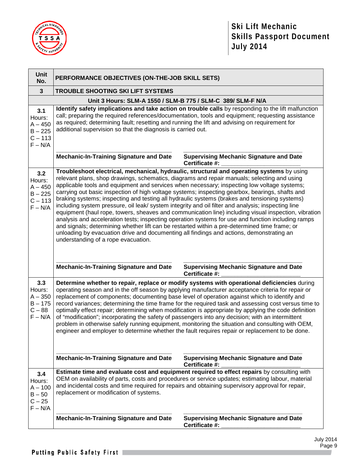

| <b>Unit</b><br>No.                                                | PERFORMANCE OBJECTIVES (ON-THE-JOB SKILL SETS)                                                                                                                                                                                                                                                                                                                                                                                                                                                                                                                                                                                                                                                                                                                                                                                                                                                                                                                                                                                                      |                                                                                                                                                                                                                                                                                                                                                                                                                                                                                                                                                                                                                                                                                                                          |  |
|-------------------------------------------------------------------|-----------------------------------------------------------------------------------------------------------------------------------------------------------------------------------------------------------------------------------------------------------------------------------------------------------------------------------------------------------------------------------------------------------------------------------------------------------------------------------------------------------------------------------------------------------------------------------------------------------------------------------------------------------------------------------------------------------------------------------------------------------------------------------------------------------------------------------------------------------------------------------------------------------------------------------------------------------------------------------------------------------------------------------------------------|--------------------------------------------------------------------------------------------------------------------------------------------------------------------------------------------------------------------------------------------------------------------------------------------------------------------------------------------------------------------------------------------------------------------------------------------------------------------------------------------------------------------------------------------------------------------------------------------------------------------------------------------------------------------------------------------------------------------------|--|
| $\mathbf{3}$                                                      | TROUBLE SHOOTING SKI LIFT SYSTEMS                                                                                                                                                                                                                                                                                                                                                                                                                                                                                                                                                                                                                                                                                                                                                                                                                                                                                                                                                                                                                   |                                                                                                                                                                                                                                                                                                                                                                                                                                                                                                                                                                                                                                                                                                                          |  |
|                                                                   | Unit 3 Hours: SLM-A 1550 / SLM-B 775 / SLM-C 389/ SLM-F N/A                                                                                                                                                                                                                                                                                                                                                                                                                                                                                                                                                                                                                                                                                                                                                                                                                                                                                                                                                                                         |                                                                                                                                                                                                                                                                                                                                                                                                                                                                                                                                                                                                                                                                                                                          |  |
| 3.1<br>Hours:<br>$A - 450$<br>$B - 225$<br>$C - 113$<br>$F - N/A$ | as required; determining fault; resetting and running the lift and advising on requirement for<br>additional supervision so that the diagnosis is carried out.                                                                                                                                                                                                                                                                                                                                                                                                                                                                                                                                                                                                                                                                                                                                                                                                                                                                                      | Identify safety implications and take action on trouble calls by responding to the lift malfunction<br>call; preparing the required references/documentation, tools and equipment; requesting assistance                                                                                                                                                                                                                                                                                                                                                                                                                                                                                                                 |  |
|                                                                   | <b>Mechanic-In-Training Signature and Date</b>                                                                                                                                                                                                                                                                                                                                                                                                                                                                                                                                                                                                                                                                                                                                                                                                                                                                                                                                                                                                      | <b>Supervising Mechanic Signature and Date</b><br>Certificate #:                                                                                                                                                                                                                                                                                                                                                                                                                                                                                                                                                                                                                                                         |  |
| 3.2<br>Hours:<br>$A - 450$<br>$B - 225$<br>$C - 113$<br>$F - N/A$ | Troubleshoot electrical, mechanical, hydraulic, structural and operating systems by using<br>relevant plans, shop drawings, schematics, diagrams and repair manuals; selecting and using<br>applicable tools and equipment and services when necessary; inspecting low voltage systems;<br>carrying out basic inspection of high voltage systems; inspecting gearbox, bearings, shafts and<br>braking systems; inspecting and testing all hydraulic systems (brakes and tensioning systems)<br>including system pressure, oil leak/ system integrity and oil filter and analysis; inspecting line<br>equipment (haul rope, towers, sheaves and communication line) including visual inspection, vibration<br>analysis and acceleration tests; inspecting operation systems for use and function including ramps<br>and signals; determining whether lift can be restarted within a pre-determined time frame; or<br>unloading by evacuation drive and documenting all findings and actions, demonstrating an<br>understanding of a rope evacuation. |                                                                                                                                                                                                                                                                                                                                                                                                                                                                                                                                                                                                                                                                                                                          |  |
|                                                                   | <b>Mechanic-In-Training Signature and Date</b>                                                                                                                                                                                                                                                                                                                                                                                                                                                                                                                                                                                                                                                                                                                                                                                                                                                                                                                                                                                                      | <b>Supervising Mechanic Signature and Date</b><br>Certificate #:                                                                                                                                                                                                                                                                                                                                                                                                                                                                                                                                                                                                                                                         |  |
| 3.3<br>Hours:<br>$A - 350$<br>$B - 175$<br>$C - 88$<br>$F - N/A$  | of "modification"; incorporating the safety of passengers into any decision; with an intermittent                                                                                                                                                                                                                                                                                                                                                                                                                                                                                                                                                                                                                                                                                                                                                                                                                                                                                                                                                   | Determine whether to repair, replace or modify systems with operational deficiencies during<br>operating season and in the off season by applying manufacturer acceptance criteria for repair or<br>replacement of components; documenting base level of operation against which to identify and<br>record variances; determining the time frame for the required task and assessing cost versus time to<br>optimally effect repair; determining when modification is appropriate by applying the code definition<br>problem in otherwise safely running equipment, monitoring the situation and consulting with OEM,<br>engineer and employer to determine whether the fault requires repair or replacement to be done. |  |
|                                                                   | <b>Mechanic-In-Training Signature and Date</b>                                                                                                                                                                                                                                                                                                                                                                                                                                                                                                                                                                                                                                                                                                                                                                                                                                                                                                                                                                                                      | <b>Supervising Mechanic Signature and Date</b><br>Certificate #:                                                                                                                                                                                                                                                                                                                                                                                                                                                                                                                                                                                                                                                         |  |
| 3.4<br>Hours:<br>$A - 100$<br>$B - 50$<br>$C - 25$<br>$F - N/A$   | replacement or modification of systems.                                                                                                                                                                                                                                                                                                                                                                                                                                                                                                                                                                                                                                                                                                                                                                                                                                                                                                                                                                                                             | Estimate time and evaluate cost and equipment required to effect repairs by consulting with<br>OEM on availability of parts, costs and procedures or service updates; estimating labour, material<br>and incidental costs and time required for repairs and obtaining supervisory approval for repair,                                                                                                                                                                                                                                                                                                                                                                                                                   |  |
|                                                                   | <b>Mechanic-In-Training Signature and Date</b>                                                                                                                                                                                                                                                                                                                                                                                                                                                                                                                                                                                                                                                                                                                                                                                                                                                                                                                                                                                                      | <b>Supervising Mechanic Signature and Date</b><br>Certificate #:                                                                                                                                                                                                                                                                                                                                                                                                                                                                                                                                                                                                                                                         |  |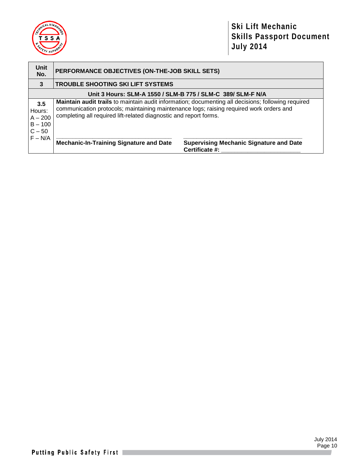

| <b>Unit</b><br>No.                                  | PERFORMANCE OBJECTIVES (ON-THE-JOB SKILL SETS)                                                                                                               |                                                                                                           |  |  |
|-----------------------------------------------------|--------------------------------------------------------------------------------------------------------------------------------------------------------------|-----------------------------------------------------------------------------------------------------------|--|--|
| 3                                                   | <b>TROUBLE SHOOTING SKI LIFT SYSTEMS</b>                                                                                                                     |                                                                                                           |  |  |
|                                                     | Unit 3 Hours: SLM-A 1550 / SLM-B 775 / SLM-C 389/ SLM-F N/A                                                                                                  |                                                                                                           |  |  |
| 3.5<br>Hours:<br>$A - 200$<br>$B - 100$<br>$C - 50$ | communication protocols; maintaining maintenance logs; raising required work orders and<br>completing all required lift-related diagnostic and report forms. | <b>Maintain audit trails</b> to maintain audit information; documenting all decisions; following required |  |  |
| $F - N/A$                                           | <b>Mechanic-In-Training Signature and Date</b>                                                                                                               | <b>Supervising Mechanic Signature and Date</b><br>Certificate #:                                          |  |  |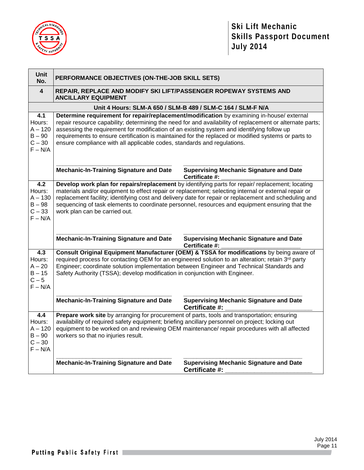

| Unit<br>No.                                                                | PERFORMANCE OBJECTIVES (ON-THE-JOB SKILL SETS)                                                                                                                                                                                                                                                                                                                                                                                                                                        |                                                                                                                                                                                                                                                                                            |  |
|----------------------------------------------------------------------------|---------------------------------------------------------------------------------------------------------------------------------------------------------------------------------------------------------------------------------------------------------------------------------------------------------------------------------------------------------------------------------------------------------------------------------------------------------------------------------------|--------------------------------------------------------------------------------------------------------------------------------------------------------------------------------------------------------------------------------------------------------------------------------------------|--|
| $\overline{\mathbf{4}}$                                                    | REPAIR, REPLACE AND MODIFY SKI LIFT/PASSENGER ROPEWAY SYSTEMS AND<br><b>ANCILLARY EQUIPMENT</b>                                                                                                                                                                                                                                                                                                                                                                                       |                                                                                                                                                                                                                                                                                            |  |
|                                                                            |                                                                                                                                                                                                                                                                                                                                                                                                                                                                                       | Unit 4 Hours: SLM-A 650 / SLM-B 489 / SLM-C 164 / SLM-F N/A                                                                                                                                                                                                                                |  |
| 4.1<br>Hours:<br>$A - 120$<br>$B - 90$<br>$C - 30$<br>$F - N/A$            | Determine requirement for repair/replacement/modification by examining in-house/ external<br>repair resource capability; determining the need for and availability of replacement or alternate parts;<br>assessing the requirement for modification of an existing system and identifying follow up<br>requirements to ensure certification is maintained for the replaced or modified systems or parts to<br>ensure compliance with all applicable codes, standards and regulations. |                                                                                                                                                                                                                                                                                            |  |
|                                                                            | <b>Mechanic-In-Training Signature and Date</b>                                                                                                                                                                                                                                                                                                                                                                                                                                        | <b>Supervising Mechanic Signature and Date</b><br>Certificate #:                                                                                                                                                                                                                           |  |
| 4.2<br>Hours:<br>$A - 130$<br>$B - 98$<br>$C - 33$<br>$F - N/A$            | Develop work plan for repairs/replacement by identifying parts for repair/replacement; locating<br>materials and/or equipment to effect repair or replacement; selecting internal or external repair or<br>replacement facility; identifying cost and delivery date for repair or replacement and scheduling and<br>sequencing of task elements to coordinate personnel, resources and equipment ensuring that the<br>work plan can be carried out.                                   |                                                                                                                                                                                                                                                                                            |  |
|                                                                            | <b>Mechanic-In-Training Signature and Date</b>                                                                                                                                                                                                                                                                                                                                                                                                                                        | <b>Supervising Mechanic Signature and Date</b><br>Certificate #:                                                                                                                                                                                                                           |  |
| $\overline{4.3}$<br>Hours:<br>$A - 20$<br>$B - 15$<br>$C - 5$<br>$F - N/A$ | Safety Authority (TSSA); develop modification in conjunction with Engineer.                                                                                                                                                                                                                                                                                                                                                                                                           | Consult Original Equipment Manufacturer (OEM) & TSSA for modifications by being aware of<br>required process for contacting OEM for an engineered solution to an alteration; retain 3rd party<br>Engineer; coordinate solution implementation between Engineer and Technical Standards and |  |
|                                                                            | <b>Mechanic-In-Training Signature and Date</b>                                                                                                                                                                                                                                                                                                                                                                                                                                        | <b>Supervising Mechanic Signature and Date</b><br>Certificate #:                                                                                                                                                                                                                           |  |
| 4.4<br>Hours:<br>$A - 120$<br>$B - 90$<br>$C - 30$<br>$F - N/A$            | Prepare work site by arranging for procurement of parts, tools and transportation; ensuring<br>availability of required safety equipment; briefing ancillary personnel on project; locking out<br>workers so that no injuries result.                                                                                                                                                                                                                                                 | equipment to be worked on and reviewing OEM maintenance/ repair procedures with all affected                                                                                                                                                                                               |  |
|                                                                            | <b>Mechanic-In-Training Signature and Date</b>                                                                                                                                                                                                                                                                                                                                                                                                                                        | <b>Supervising Mechanic Signature and Date</b><br>Certificate #:                                                                                                                                                                                                                           |  |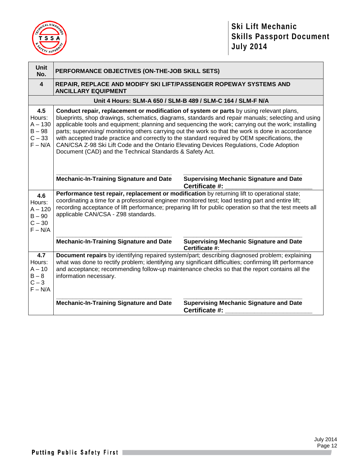

| Unit<br>No.                                                     | PERFORMANCE OBJECTIVES (ON-THE-JOB SKILL SETS)                                                                                                                                                                                                                                                                                                                                                                                                                                                                                                                                                                                                                      |                                                                                                          |  |
|-----------------------------------------------------------------|---------------------------------------------------------------------------------------------------------------------------------------------------------------------------------------------------------------------------------------------------------------------------------------------------------------------------------------------------------------------------------------------------------------------------------------------------------------------------------------------------------------------------------------------------------------------------------------------------------------------------------------------------------------------|----------------------------------------------------------------------------------------------------------|--|
| $\overline{\mathbf{4}}$                                         | REPAIR, REPLACE AND MODIFY SKI LIFT/PASSENGER ROPEWAY SYSTEMS AND<br><b>ANCILLARY EQUIPMENT</b>                                                                                                                                                                                                                                                                                                                                                                                                                                                                                                                                                                     |                                                                                                          |  |
|                                                                 |                                                                                                                                                                                                                                                                                                                                                                                                                                                                                                                                                                                                                                                                     | Unit 4 Hours: SLM-A 650 / SLM-B 489 / SLM-C 164 / SLM-F N/A                                              |  |
| 4.5<br>Hours:<br>$A - 130$<br>$B - 98$<br>$C - 33$<br>$F - N/A$ | Conduct repair, replacement or modification of system or parts by using relevant plans,<br>blueprints, shop drawings, schematics, diagrams, standards and repair manuals; selecting and using<br>applicable tools and equipment; planning and sequencing the work; carrying out the work; installing<br>parts; supervising/ monitoring others carrying out the work so that the work is done in accordance<br>with accepted trade practice and correctly to the standard required by OEM specifications, the<br>CAN/CSA Z-98 Ski Lift Code and the Ontario Elevating Devices Regulations, Code Adoption<br>Document (CAD) and the Technical Standards & Safety Act. |                                                                                                          |  |
|                                                                 | <b>Mechanic-In-Training Signature and Date</b>                                                                                                                                                                                                                                                                                                                                                                                                                                                                                                                                                                                                                      | <b>Supervising Mechanic Signature and Date</b><br>Certificate #:                                         |  |
| 4.6<br>Hours:<br>$A - 120$<br>$B - 90$<br>$C - 30$<br>$F - N/A$ | Performance test repair, replacement or modification by returning lift to operational state;<br>coordinating a time for a professional engineer monitored test; load testing part and entire lift;<br>applicable CAN/CSA - Z98 standards.                                                                                                                                                                                                                                                                                                                                                                                                                           | recording acceptance of lift performance; preparing lift for public operation so that the test meets all |  |
|                                                                 | <b>Mechanic-In-Training Signature and Date</b>                                                                                                                                                                                                                                                                                                                                                                                                                                                                                                                                                                                                                      | <b>Supervising Mechanic Signature and Date</b><br>Certificate #:                                         |  |
| 4.7<br>Hours:<br>$A - 10$<br>$B - 8$<br>$C-3$<br>$F - N/A$      | Document repairs by identifying repaired system/part; describing diagnosed problem; explaining<br>what was done to rectify problem; identifying any significant difficulties; confirming lift performance<br>and acceptance; recommending follow-up maintenance checks so that the report contains all the<br>information necessary.                                                                                                                                                                                                                                                                                                                                |                                                                                                          |  |
|                                                                 | <b>Mechanic-In-Training Signature and Date</b>                                                                                                                                                                                                                                                                                                                                                                                                                                                                                                                                                                                                                      | <b>Supervising Mechanic Signature and Date</b><br>Certificate #:                                         |  |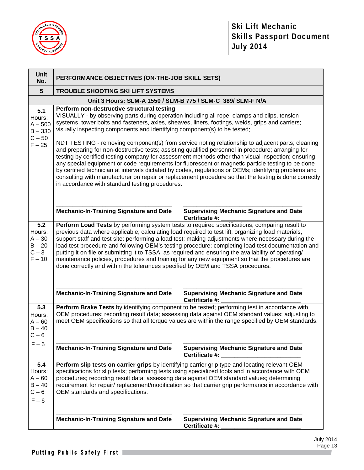

| <b>Unit</b><br>No.                                                                                                                                                                                                                                                                                                                                                                                                                                                                                                                                                                                       | PERFORMANCE OBJECTIVES (ON-THE-JOB SKILL SETS)                                                                                                                                                                                                                                                                                                                                                                                                                                                                                                                                                                                                                                                             |                                                                                                                                                                                                                                                                                                        |  |
|----------------------------------------------------------------------------------------------------------------------------------------------------------------------------------------------------------------------------------------------------------------------------------------------------------------------------------------------------------------------------------------------------------------------------------------------------------------------------------------------------------------------------------------------------------------------------------------------------------|------------------------------------------------------------------------------------------------------------------------------------------------------------------------------------------------------------------------------------------------------------------------------------------------------------------------------------------------------------------------------------------------------------------------------------------------------------------------------------------------------------------------------------------------------------------------------------------------------------------------------------------------------------------------------------------------------------|--------------------------------------------------------------------------------------------------------------------------------------------------------------------------------------------------------------------------------------------------------------------------------------------------------|--|
| $5\phantom{1}$                                                                                                                                                                                                                                                                                                                                                                                                                                                                                                                                                                                           | <b>TROUBLE SHOOTING SKI LIFT SYSTEMS</b>                                                                                                                                                                                                                                                                                                                                                                                                                                                                                                                                                                                                                                                                   |                                                                                                                                                                                                                                                                                                        |  |
|                                                                                                                                                                                                                                                                                                                                                                                                                                                                                                                                                                                                          | Unit 3 Hours: SLM-A 1550 / SLM-B 775 / SLM-C 389/ SLM-F N/A                                                                                                                                                                                                                                                                                                                                                                                                                                                                                                                                                                                                                                                |                                                                                                                                                                                                                                                                                                        |  |
| Perform non-destructive structural testing<br>5.1<br>VISUALLY - by observing parts during operation including all rope, clamps and clips, tension<br>Hours:<br>systems, tower bolts and fasteners, axles, sheaves, liners, footings, welds, grips and carriers;<br>$A - 500$<br>visually inspecting components and identifying component(s) to be tested;<br>$B - 330$<br>$C - 50$<br>NDT TESTING - removing component(s) from service noting relationship to adjacent parts; cleaning<br>$F - 25$<br>and preparing for non-destructive tests; assisting qualified personnel in procedure; arranging for |                                                                                                                                                                                                                                                                                                                                                                                                                                                                                                                                                                                                                                                                                                            |                                                                                                                                                                                                                                                                                                        |  |
|                                                                                                                                                                                                                                                                                                                                                                                                                                                                                                                                                                                                          | testing by certified testing company for assessment methods other than visual inspection; ensuring<br>any special equipment or code requirements for fluorescent or magnetic particle testing to be done<br>by certified technician at intervals dictated by codes, regulations or OEMs; identifying problems and<br>consulting with manufacturer on repair or replacement procedure so that the testing is done correctly<br>in accordance with standard testing procedures.                                                                                                                                                                                                                              |                                                                                                                                                                                                                                                                                                        |  |
|                                                                                                                                                                                                                                                                                                                                                                                                                                                                                                                                                                                                          | <b>Mechanic-In-Training Signature and Date</b>                                                                                                                                                                                                                                                                                                                                                                                                                                                                                                                                                                                                                                                             | <b>Supervising Mechanic Signature and Date</b><br>Certificate #:                                                                                                                                                                                                                                       |  |
| 5.2<br>Hours:<br>$A - 30$<br>$B - 20$<br>$C-3$<br>$F - 10$                                                                                                                                                                                                                                                                                                                                                                                                                                                                                                                                               | Perform Load Tests by performing system tests to required specifications; comparing result to<br>previous data where applicable; calculating load required to test lift; organizing load materials,<br>support staff and test site; performing a load test; making adjustments where necessary during the<br>load test procedure and following OEM's testing procedure; completing load test documentation and<br>putting it on file or submitting it to TSSA, as required and ensuring the availability of operating/<br>maintenance policies, procedures and training for any new equipment so that the procedures are<br>done correctly and within the tolerances specified by OEM and TSSA procedures. |                                                                                                                                                                                                                                                                                                        |  |
|                                                                                                                                                                                                                                                                                                                                                                                                                                                                                                                                                                                                          | <b>Mechanic-In-Training Signature and Date</b>                                                                                                                                                                                                                                                                                                                                                                                                                                                                                                                                                                                                                                                             | <b>Supervising Mechanic Signature and Date</b><br>Certificate #:                                                                                                                                                                                                                                       |  |
| 5.3<br>Hours:<br>$A - 60$<br>$B - 40$<br>$C - 6$                                                                                                                                                                                                                                                                                                                                                                                                                                                                                                                                                         |                                                                                                                                                                                                                                                                                                                                                                                                                                                                                                                                                                                                                                                                                                            | Perform Brake Tests by identifying component to be tested; performing test in accordance with<br>OEM procedures; recording result data; assessing data against OEM standard values; adjusting to<br>meet OEM specifications so that all torque values are within the range specified by OEM standards. |  |
| $F - 6$                                                                                                                                                                                                                                                                                                                                                                                                                                                                                                                                                                                                  | <b>Mechanic-In-Training Signature and Date</b>                                                                                                                                                                                                                                                                                                                                                                                                                                                                                                                                                                                                                                                             | <b>Supervising Mechanic Signature and Date</b><br>Certificate #:                                                                                                                                                                                                                                       |  |
| 5.4<br>Hours:<br>$A - 60$<br>$B - 40$<br>$C - 6$<br>$F - 6$                                                                                                                                                                                                                                                                                                                                                                                                                                                                                                                                              | Perform slip tests on carrier grips by identifying carrier grip type and locating relevant OEM<br>specifications for slip tests; performing tests using specialized tools and in accordance with OEM<br>procedures; recording result data; assessing data against OEM standard values; determining<br>requirement for repair/ replacement/modification so that carrier grip performance in accordance with<br>OEM standards and specifications.                                                                                                                                                                                                                                                            |                                                                                                                                                                                                                                                                                                        |  |
|                                                                                                                                                                                                                                                                                                                                                                                                                                                                                                                                                                                                          | <b>Mechanic-In-Training Signature and Date</b>                                                                                                                                                                                                                                                                                                                                                                                                                                                                                                                                                                                                                                                             | <b>Supervising Mechanic Signature and Date</b><br>Certificate #:                                                                                                                                                                                                                                       |  |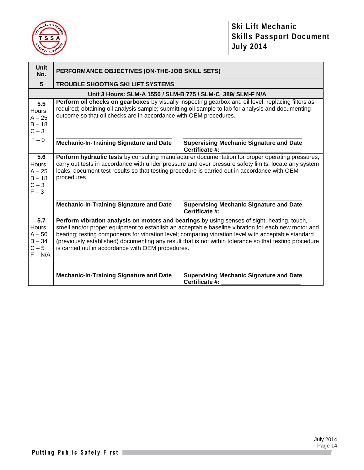

| <b>Unit</b><br>No.                                            | PERFORMANCE OBJECTIVES (ON-THE-JOB SKILL SETS)                                                                                                                                                                                                                                                                                                                                                                                                                          |                                                                  |  |
|---------------------------------------------------------------|-------------------------------------------------------------------------------------------------------------------------------------------------------------------------------------------------------------------------------------------------------------------------------------------------------------------------------------------------------------------------------------------------------------------------------------------------------------------------|------------------------------------------------------------------|--|
| $5\phantom{.0}$                                               | <b>TROUBLE SHOOTING SKI LIFT SYSTEMS</b>                                                                                                                                                                                                                                                                                                                                                                                                                                |                                                                  |  |
|                                                               | Unit 3 Hours: SLM-A 1550 / SLM-B 775 / SLM-C 389/ SLM-F N/A                                                                                                                                                                                                                                                                                                                                                                                                             |                                                                  |  |
| 5.5<br>Hours:<br>$A - 25$<br>$B - 18$<br>$C-3$                | Perform oil checks on gearboxes by visually inspecting gearbox and oil level; replacing filters as<br>required; obtaining oil analysis sample; submitting oil sample to lab for analysis and documenting<br>outcome so that oil checks are in accordance with OEM procedures.                                                                                                                                                                                           |                                                                  |  |
| $F - 0$                                                       | <b>Mechanic-In-Training Signature and Date</b><br><b>Supervising Mechanic Signature and Date</b><br>Certificate #:                                                                                                                                                                                                                                                                                                                                                      |                                                                  |  |
| 5.6<br>Hours:<br>$A - 25$<br>$B - 18$<br>$C-3$<br>$F - 3$     | Perform hydraulic tests by consulting manufacturer documentation for proper operating pressures;<br>carry out tests in accordance with under pressure and over pressure safety limits; locate any system<br>leaks; document test results so that testing procedure is carried out in accordance with OEM<br>procedures.                                                                                                                                                 |                                                                  |  |
|                                                               | <b>Mechanic-In-Training Signature and Date</b>                                                                                                                                                                                                                                                                                                                                                                                                                          | <b>Supervising Mechanic Signature and Date</b><br>Certificate #: |  |
| 5.7<br>Hours:<br>$A - 50$<br>$B - 34$<br>$C - 5$<br>$F - N/A$ | Perform vibration analysis on motors and bearings by using senses of sight, heating, touch,<br>smell and/or proper equipment to establish an acceptable baseline vibration for each new motor and<br>bearing; testing components for vibration level; comparing vibration level with acceptable standard<br>(previously established) documenting any result that is not within tolerance so that testing procedure<br>is carried out in accordance with OEM procedures. |                                                                  |  |
|                                                               | <b>Mechanic-In-Training Signature and Date</b>                                                                                                                                                                                                                                                                                                                                                                                                                          | <b>Supervising Mechanic Signature and Date</b><br>Certificate #: |  |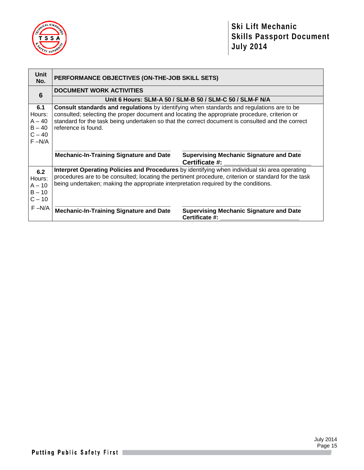

| <b>Unit</b><br>No.                                             | PERFORMANCE OBJECTIVES (ON-THE-JOB SKILL SETS)                                                                                                                                                                                                                                                                        |                                                                  |  |  |
|----------------------------------------------------------------|-----------------------------------------------------------------------------------------------------------------------------------------------------------------------------------------------------------------------------------------------------------------------------------------------------------------------|------------------------------------------------------------------|--|--|
| $6\phantom{1}6$                                                | <b>DOCUMENT WORK ACTIVITIES</b>                                                                                                                                                                                                                                                                                       |                                                                  |  |  |
|                                                                | Unit 6 Hours: SLM-A 50 / SLM-B 50 / SLM-C 50 / SLM-F N/A                                                                                                                                                                                                                                                              |                                                                  |  |  |
| 6.1<br>Hours:<br>$A - 40$<br>$B - 40$<br>$C - 40$<br>$F - N/A$ | Consult standards and regulations by identifying when standards and regulations are to be<br>consulted; selecting the proper document and locating the appropriate procedure, criterion or<br>standard for the task being undertaken so that the correct document is consulted and the correct<br>reference is found. |                                                                  |  |  |
|                                                                | <b>Mechanic-In-Training Signature and Date</b>                                                                                                                                                                                                                                                                        | <b>Supervising Mechanic Signature and Date</b><br>Certificate #: |  |  |
| 6.2<br>Hours:<br>$A - 10$<br>$B - 10$<br>$C - 10$              | Interpret Operating Policies and Procedures by identifying when individual ski area operating<br>procedures are to be consulted; locating the pertinent procedure, criterion or standard for the task<br>being undertaken; making the appropriate interpretation required by the conditions.                          |                                                                  |  |  |
| $F - N/A$                                                      | <b>Mechanic-In-Training Signature and Date</b>                                                                                                                                                                                                                                                                        | <b>Supervising Mechanic Signature and Date</b><br>Certificate #: |  |  |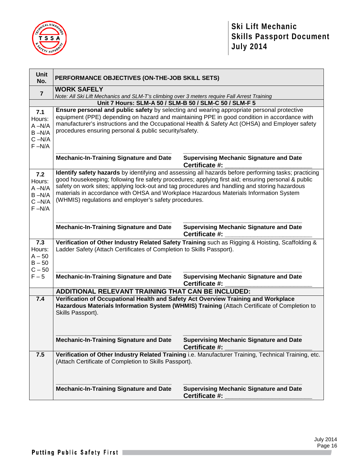

| <b>Unit</b><br>No.                                                | PERFORMANCE OBJECTIVES (ON-THE-JOB SKILL SETS)                                                                                                                                                                                                                                                                                                                                                                                                                  |                                                                                              |  |  |
|-------------------------------------------------------------------|-----------------------------------------------------------------------------------------------------------------------------------------------------------------------------------------------------------------------------------------------------------------------------------------------------------------------------------------------------------------------------------------------------------------------------------------------------------------|----------------------------------------------------------------------------------------------|--|--|
| $\overline{7}$                                                    | <b>WORK SAFELY</b>                                                                                                                                                                                                                                                                                                                                                                                                                                              |                                                                                              |  |  |
|                                                                   | Note: All Ski Lift Mechanics and SLM-T's climbing over 3 meters require Fall Arrest Training<br>Unit 7 Hours: SLM-A 50 / SLM-B 50 / SLM-C 50 / SLM-F 5                                                                                                                                                                                                                                                                                                          |                                                                                              |  |  |
|                                                                   |                                                                                                                                                                                                                                                                                                                                                                                                                                                                 |                                                                                              |  |  |
| 7.1<br>Hours:<br>$A - N/A$<br>$B - N/A$<br>$C - N/A$<br>$F - N/A$ | Ensure personal and public safety by selecting and wearing appropriate personal protective<br>equipment (PPE) depending on hazard and maintaining PPE in good condition in accordance with<br>manufacturer's instructions and the Occupational Health & Safety Act (OHSA) and Employer safety<br>procedures ensuring personal & public security/safety.                                                                                                         |                                                                                              |  |  |
|                                                                   | <b>Mechanic-In-Training Signature and Date</b>                                                                                                                                                                                                                                                                                                                                                                                                                  | <b>Supervising Mechanic Signature and Date</b><br>Certificate #:                             |  |  |
| 7.2<br>Hours:<br>$A - N/A$<br>$B - N/A$<br>$C - N/A$<br>$F - N/A$ | Identify safety hazards by identifying and assessing all hazards before performing tasks; practicing<br>good housekeeping; following fire safety procedures; applying first aid; ensuring personal & public<br>safety on work sites; applying lock-out and tag procedures and handling and storing hazardous<br>materials in accordance with OHSA and Workplace Hazardous Materials Information System<br>(WHMIS) regulations and employer's safety procedures. |                                                                                              |  |  |
|                                                                   | <b>Mechanic-In-Training Signature and Date</b>                                                                                                                                                                                                                                                                                                                                                                                                                  | <b>Supervising Mechanic Signature and Date</b><br>Certificate #:                             |  |  |
| 7.3<br>Hours:<br>$A - 50$<br>$B - 50$<br>$C - 50$                 | Verification of Other Industry Related Safety Training such as Rigging & Hoisting, Scaffolding &<br>Ladder Safety (Attach Certificates of Completion to Skills Passport).                                                                                                                                                                                                                                                                                       |                                                                                              |  |  |
| $F-5$                                                             | <b>Mechanic-In-Training Signature and Date</b>                                                                                                                                                                                                                                                                                                                                                                                                                  | <b>Supervising Mechanic Signature and Date</b><br>Certificate #:                             |  |  |
|                                                                   | ADDITIONAL RELEVANT TRAINING THAT CAN BE INCLUDED:                                                                                                                                                                                                                                                                                                                                                                                                              |                                                                                              |  |  |
| 7.4                                                               | Verification of Occupational Health and Safety Act Overview Training and Workplace<br>Skills Passport).                                                                                                                                                                                                                                                                                                                                                         | Hazardous Materials Information System (WHMIS) Training (Attach Certificate of Completion to |  |  |
|                                                                   | <b>Mechanic-In-Training Signature and Date</b>                                                                                                                                                                                                                                                                                                                                                                                                                  | <b>Supervising Mechanic Signature and Date</b><br>Certificate #:                             |  |  |
| 7.5                                                               | Verification of Other Industry Related Training i.e. Manufacturer Training, Technical Training, etc.<br>(Attach Certificate of Completion to Skills Passport).                                                                                                                                                                                                                                                                                                  |                                                                                              |  |  |
|                                                                   | <b>Mechanic-In-Training Signature and Date</b>                                                                                                                                                                                                                                                                                                                                                                                                                  | <b>Supervising Mechanic Signature and Date</b><br>Certificate #:                             |  |  |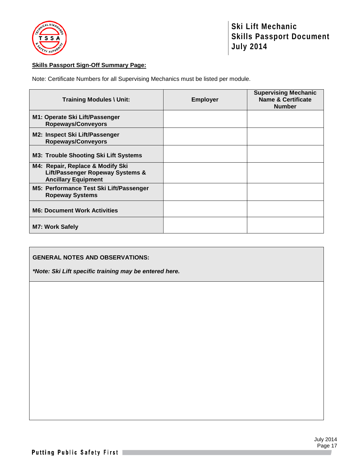

## **Skills Passport Sign-Off Summary Page:**

Note: Certificate Numbers for all Supervising Mechanics must be listed per module.

| <b>Training Modules \ Unit:</b>                                                                    | <b>Employer</b> | <b>Supervising Mechanic</b><br><b>Name &amp; Certificate</b><br><b>Number</b> |
|----------------------------------------------------------------------------------------------------|-----------------|-------------------------------------------------------------------------------|
| M1: Operate Ski Lift/Passenger<br><b>Ropeways/Conveyors</b>                                        |                 |                                                                               |
| M2: Inspect Ski Lift/Passenger<br><b>Ropeways/Conveyors</b>                                        |                 |                                                                               |
| <b>M3: Trouble Shooting Ski Lift Systems</b>                                                       |                 |                                                                               |
| M4: Repair, Replace & Modify Ski<br>Lift/Passenger Ropeway Systems &<br><b>Ancillary Equipment</b> |                 |                                                                               |
| M5: Performance Test Ski Lift/Passenger<br><b>Ropeway Systems</b>                                  |                 |                                                                               |
| <b>M6: Document Work Activities</b>                                                                |                 |                                                                               |
| <b>M7: Work Safely</b>                                                                             |                 |                                                                               |

## **GENERAL NOTES AND OBSERVATIONS:**

*\*Note: Ski Lift specific training may be entered here.*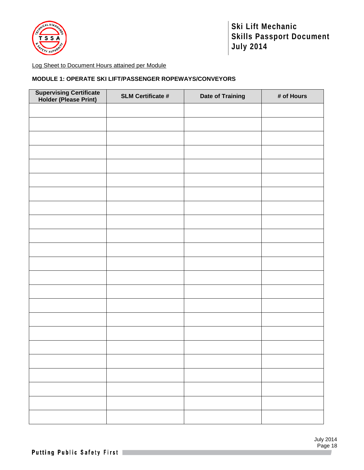

## Log Sheet to Document Hours attained per Module

## **MODULE 1: OPERATE SKI LIFT/PASSENGER ROPEWAYS/CONVEYORS**

| <b>Supervising Certificate<br/>Holder (Please Print)</b> | <b>SLM Certificate #</b> | <b>Date of Training</b> | # of Hours |
|----------------------------------------------------------|--------------------------|-------------------------|------------|
|                                                          |                          |                         |            |
|                                                          |                          |                         |            |
|                                                          |                          |                         |            |
|                                                          |                          |                         |            |
|                                                          |                          |                         |            |
|                                                          |                          |                         |            |
|                                                          |                          |                         |            |
|                                                          |                          |                         |            |
|                                                          |                          |                         |            |
|                                                          |                          |                         |            |
|                                                          |                          |                         |            |
|                                                          |                          |                         |            |
|                                                          |                          |                         |            |
|                                                          |                          |                         |            |
|                                                          |                          |                         |            |
|                                                          |                          |                         |            |
|                                                          |                          |                         |            |
|                                                          |                          |                         |            |
|                                                          |                          |                         |            |
|                                                          |                          |                         |            |
|                                                          |                          |                         |            |
|                                                          |                          |                         |            |
|                                                          |                          |                         |            |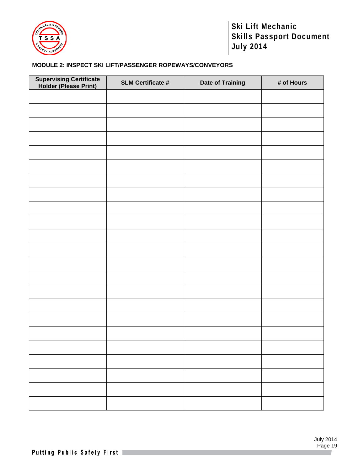

## **MODULE 2: INSPECT SKI LIFT/PASSENGER ROPEWAYS/CONVEYORS**

| <b>Supervising Certificate<br/>Holder (Please Print)</b> | <b>SLM Certificate #</b> | <b>Date of Training</b> | # of Hours |
|----------------------------------------------------------|--------------------------|-------------------------|------------|
|                                                          |                          |                         |            |
|                                                          |                          |                         |            |
|                                                          |                          |                         |            |
|                                                          |                          |                         |            |
|                                                          |                          |                         |            |
|                                                          |                          |                         |            |
|                                                          |                          |                         |            |
|                                                          |                          |                         |            |
|                                                          |                          |                         |            |
|                                                          |                          |                         |            |
|                                                          |                          |                         |            |
|                                                          |                          |                         |            |
|                                                          |                          |                         |            |
|                                                          |                          |                         |            |
|                                                          |                          |                         |            |
|                                                          |                          |                         |            |
|                                                          |                          |                         |            |
|                                                          |                          |                         |            |
|                                                          |                          |                         |            |
|                                                          |                          |                         |            |
|                                                          |                          |                         |            |
|                                                          |                          |                         |            |
|                                                          |                          |                         |            |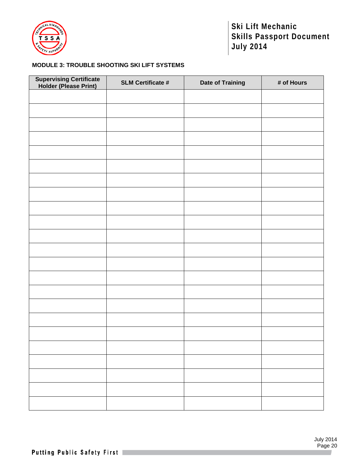

## **MODULE 3: TROUBLE SHOOTING SKI LIFT SYSTEMS**

| <b>Supervising Certificate<br/>Holder (Please Print)</b> | <b>SLM Certificate #</b> | <b>Date of Training</b> | # of Hours |
|----------------------------------------------------------|--------------------------|-------------------------|------------|
|                                                          |                          |                         |            |
|                                                          |                          |                         |            |
|                                                          |                          |                         |            |
|                                                          |                          |                         |            |
|                                                          |                          |                         |            |
|                                                          |                          |                         |            |
|                                                          |                          |                         |            |
|                                                          |                          |                         |            |
|                                                          |                          |                         |            |
|                                                          |                          |                         |            |
|                                                          |                          |                         |            |
|                                                          |                          |                         |            |
|                                                          |                          |                         |            |
|                                                          |                          |                         |            |
|                                                          |                          |                         |            |
|                                                          |                          |                         |            |
|                                                          |                          |                         |            |
|                                                          |                          |                         |            |
|                                                          |                          |                         |            |
|                                                          |                          |                         |            |
|                                                          |                          |                         |            |
|                                                          |                          |                         |            |
|                                                          |                          |                         |            |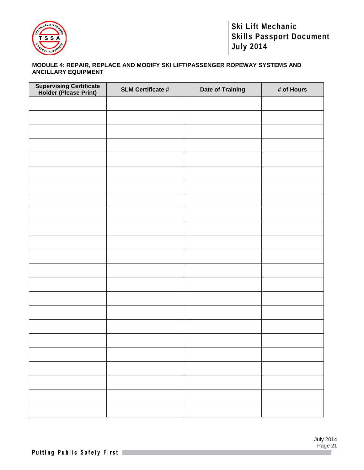

## **MODULE 4: REPAIR, REPLACE AND MODIFY SKI LIFT/PASSENGER ROPEWAY SYSTEMS AND ANCILLARY EQUIPMENT**

| <b>Supervising Certificate<br/>Holder (Please Print)</b> | <b>SLM Certificate #</b> | <b>Date of Training</b> | # of Hours |
|----------------------------------------------------------|--------------------------|-------------------------|------------|
|                                                          |                          |                         |            |
|                                                          |                          |                         |            |
|                                                          |                          |                         |            |
|                                                          |                          |                         |            |
|                                                          |                          |                         |            |
|                                                          |                          |                         |            |
|                                                          |                          |                         |            |
|                                                          |                          |                         |            |
|                                                          |                          |                         |            |
|                                                          |                          |                         |            |
|                                                          |                          |                         |            |
|                                                          |                          |                         |            |
|                                                          |                          |                         |            |
|                                                          |                          |                         |            |
|                                                          |                          |                         |            |
|                                                          |                          |                         |            |
|                                                          |                          |                         |            |
|                                                          |                          |                         |            |
|                                                          |                          |                         |            |
|                                                          |                          |                         |            |
|                                                          |                          |                         |            |
|                                                          |                          |                         |            |
|                                                          |                          |                         |            |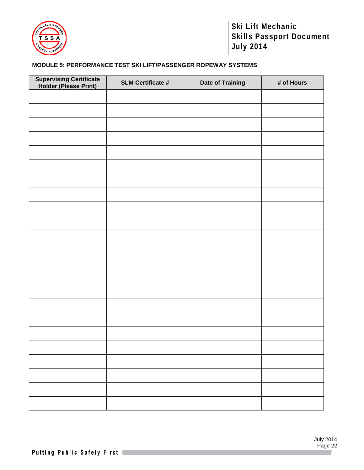

## **MODULE 5: PERFORMANCE TEST SKI LIFT/PASSENGER ROPEWAY SYSTEMS**

| <b>Supervising Certificate<br/>Holder (Please Print)</b> | <b>SLM Certificate #</b> | <b>Date of Training</b> | # of Hours |
|----------------------------------------------------------|--------------------------|-------------------------|------------|
|                                                          |                          |                         |            |
|                                                          |                          |                         |            |
|                                                          |                          |                         |            |
|                                                          |                          |                         |            |
|                                                          |                          |                         |            |
|                                                          |                          |                         |            |
|                                                          |                          |                         |            |
|                                                          |                          |                         |            |
|                                                          |                          |                         |            |
|                                                          |                          |                         |            |
|                                                          |                          |                         |            |
|                                                          |                          |                         |            |
|                                                          |                          |                         |            |
|                                                          |                          |                         |            |
|                                                          |                          |                         |            |
|                                                          |                          |                         |            |
|                                                          |                          |                         |            |
|                                                          |                          |                         |            |
|                                                          |                          |                         |            |
|                                                          |                          |                         |            |
|                                                          |                          |                         |            |
|                                                          |                          |                         |            |
|                                                          |                          |                         |            |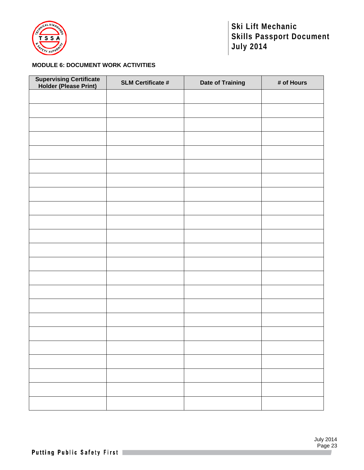

## **MODULE 6: DOCUMENT WORK ACTIVITIES**

| <b>Supervising Certificate<br/>Holder (Please Print)</b> | <b>SLM Certificate #</b> | <b>Date of Training</b> | # of Hours |
|----------------------------------------------------------|--------------------------|-------------------------|------------|
|                                                          |                          |                         |            |
|                                                          |                          |                         |            |
|                                                          |                          |                         |            |
|                                                          |                          |                         |            |
|                                                          |                          |                         |            |
|                                                          |                          |                         |            |
|                                                          |                          |                         |            |
|                                                          |                          |                         |            |
|                                                          |                          |                         |            |
|                                                          |                          |                         |            |
|                                                          |                          |                         |            |
|                                                          |                          |                         |            |
|                                                          |                          |                         |            |
|                                                          |                          |                         |            |
|                                                          |                          |                         |            |
|                                                          |                          |                         |            |
|                                                          |                          |                         |            |
|                                                          |                          |                         |            |
|                                                          |                          |                         |            |
|                                                          |                          |                         |            |
|                                                          |                          |                         |            |
|                                                          |                          |                         |            |
|                                                          |                          |                         |            |